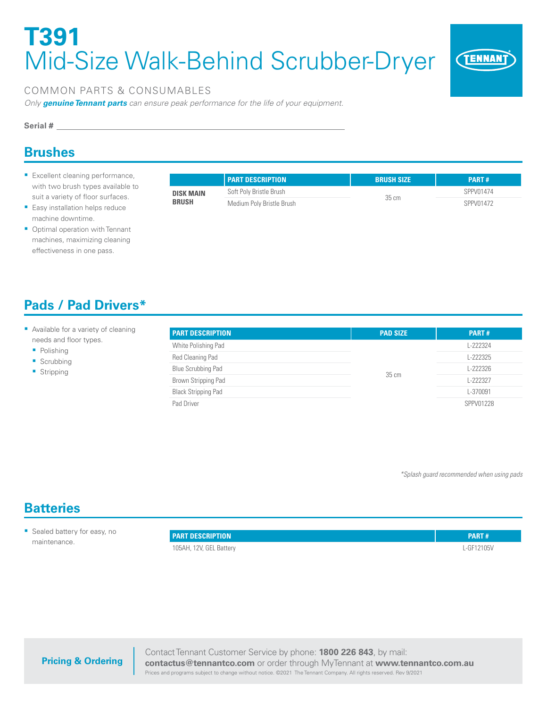# **T391**  Mid-Size Walk-Behind Scrubber-Dryer



### COMMON PARTS & CONSUMABLES

*Only genuine Tennant parts can ensure peak performance for the life of your equipment.*

#### **Serial #**

### **Brushes**

- **Excellent cleaning performance,** with two brush types available to suit a variety of floor surfaces.
- **Easy installation helps reduce** machine downtime.
- Optimal operation with Tennant machines, maximizing cleaning effectiveness in one pass.

| <b>Pads / Pad Drivers*</b> |  |  |
|----------------------------|--|--|
|                            |  |  |

- Available for a variety of cleaning needs and floor types.
	- Polishing
	- Scrubbing
	- **Stripping**

|                                                                                          | <b>PART DESCRIPTION</b> | <b>BRUSH SIZE</b> | <b>PART#</b> |
|------------------------------------------------------------------------------------------|-------------------------|-------------------|--------------|
| Soft Poly Bristle Brush<br><b>DISK MAIN</b><br><b>BRUSH</b><br>Medium Poly Bristle Brush |                         | 35 cm             | SPPV01474    |
|                                                                                          |                         |                   | SPPV01472    |

#### **PART DESCRIPTION PAD SIZE PART #** White Polishing Pad 35 cm L-222324 Red Cleaning Pad **L-222325** Blue Scrubbing Pad L-222326 Brown Stripping Pad **L-222327** Black Stripping Pad L-370091 Pad Driver SPPV01228

*\*Splash guard recommended when using pads*

### **Batteries**

**Sealed battery for easy, no** maintenance.

| <b>PART DESCRIPTION</b> | <b>PART#</b> |
|-------------------------|--------------|
| 105AH, 12V, GEL Battery | L-GF12105V   |

**Pricing & Ordering**

Contact Tennant Customer Service by phone: **1800 226 843**, by mail: **contactus@tennantco.com** or order through MyTennant at **www.tennantco.com.au** Prices and programs subject to change without notice. ©2021 The Tennant Company. All rights reserved. Rev 9/2021